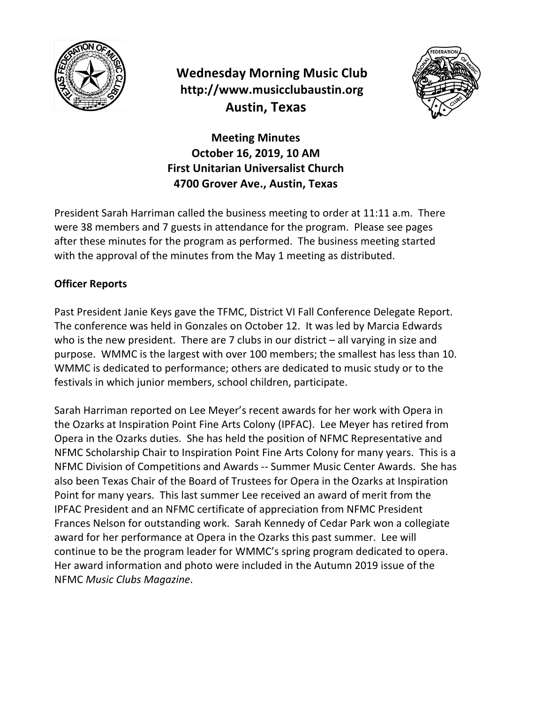

# **Wednesday Morning Music Club http://www.musicclubaustin.org Austin, Texas**



**Meeting Minutes October 16, 2019, 10 AM First Unitarian Universalist Church 4700 Grover Ave., Austin, Texas**

President Sarah Harriman called the business meeting to order at 11:11 a.m. There were 38 members and 7 guests in attendance for the program. Please see pages after these minutes for the program as performed. The business meeting started with the approval of the minutes from the May 1 meeting as distributed.

## **Officer Reports**

Past President Janie Keys gave the TFMC, District VI Fall Conference Delegate Report. The conference was held in Gonzales on October 12. It was led by Marcia Edwards who is the new president. There are 7 clubs in our district  $-$  all varying in size and purpose. WMMC is the largest with over 100 members; the smallest has less than 10. WMMC is dedicated to performance; others are dedicated to music study or to the festivals in which junior members, school children, participate.

Sarah Harriman reported on Lee Meyer's recent awards for her work with Opera in the Ozarks at Inspiration Point Fine Arts Colony (IPFAC). Lee Meyer has retired from Opera in the Ozarks duties. She has held the position of NFMC Representative and NFMC Scholarship Chair to Inspiration Point Fine Arts Colony for many years. This is a NFMC Division of Competitions and Awards -- Summer Music Center Awards. She has also been Texas Chair of the Board of Trustees for Opera in the Ozarks at Inspiration Point for many years. This last summer Lee received an award of merit from the IPFAC President and an NFMC certificate of appreciation from NFMC President Frances Nelson for outstanding work. Sarah Kennedy of Cedar Park won a collegiate award for her performance at Opera in the Ozarks this past summer. Lee will continue to be the program leader for WMMC's spring program dedicated to opera. Her award information and photo were included in the Autumn 2019 issue of the NFMC *Music Clubs Magazine*.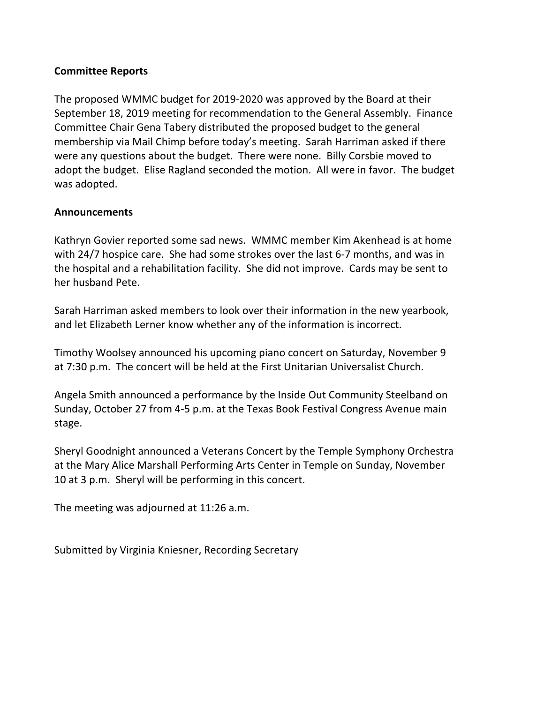## **Committee Reports**

The proposed WMMC budget for 2019-2020 was approved by the Board at their September 18, 2019 meeting for recommendation to the General Assembly. Finance Committee Chair Gena Tabery distributed the proposed budget to the general membership via Mail Chimp before today's meeting. Sarah Harriman asked if there were any questions about the budget. There were none. Billy Corsbie moved to adopt the budget. Elise Ragland seconded the motion. All were in favor. The budget was adopted.

### **Announcements**

Kathryn Govier reported some sad news. WMMC member Kim Akenhead is at home with 24/7 hospice care. She had some strokes over the last 6-7 months, and was in the hospital and a rehabilitation facility. She did not improve. Cards may be sent to her husband Pete.

Sarah Harriman asked members to look over their information in the new yearbook, and let Elizabeth Lerner know whether any of the information is incorrect.

Timothy Woolsey announced his upcoming piano concert on Saturday, November 9 at 7:30 p.m. The concert will be held at the First Unitarian Universalist Church.

Angela Smith announced a performance by the Inside Out Community Steelband on Sunday, October 27 from 4-5 p.m. at the Texas Book Festival Congress Avenue main stage.

Sheryl Goodnight announced a Veterans Concert by the Temple Symphony Orchestra at the Mary Alice Marshall Performing Arts Center in Temple on Sunday, November 10 at 3 p.m. Sheryl will be performing in this concert.

The meeting was adjourned at  $11:26$  a.m.

Submitted by Virginia Kniesner, Recording Secretary